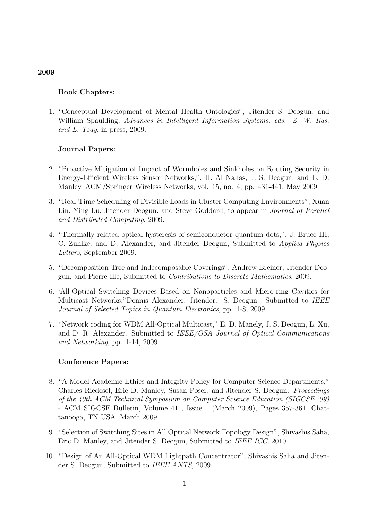## Book Chapters:

1. "Conceptual Development of Mental Health Ontologies", Jitender S. Deogun, and William Spaulding, Advances in Intelligent Information Systems, eds. Z. W. Ras, and L. Tsay, in press, 2009.

## Journal Papers:

- 2. "Proactive Mitigation of Impact of Wormholes and Sinkholes on Routing Security in Energy-Efficient Wireless Sensor Networks,", H. Al Nahas, J. S. Deogun, and E. D. Manley, ACM/Springer Wireless Networks, vol. 15, no. 4, pp. 431-441, May 2009.
- 3. "Real-Time Scheduling of Divisible Loads in Cluster Computing Environments", Xuan Lin, Ying Lu, Jitender Deogun, and Steve Goddard, to appear in *Journal of Parallel* and Distributed Computing, 2009.
- 4. "Thermally related optical hysteresis of semiconductor quantum dots,", J. Bruce III, C. Zuhlke, and D. Alexander, and Jitender Deogun, Submitted to Applied Physics Letters, September 2009.
- 5. "Decomposition Tree and Indecomposable Coverings", Andrew Breiner, Jitender Deogun, and Pierre Ille, Submitted to Contributions to Discrete Mathematics, 2009.
- 6. 'All-Optical Switching Devices Based on Nanoparticles and Micro-ring Cavities for Multicast Networks,"Dennis Alexander, Jitender. S. Deogun. Submitted to IEEE Journal of Selected Topics in Quantum Electronics, pp. 1-8, 2009.
- 7. "Network coding for WDM All-Optical Multicast," E. D. Manely, J. S. Deogun, L. Xu, and D. R. Alexander. Submitted to IEEE/OSA Journal of Optical Communications and Networking, pp. 1-14, 2009.

### Conference Papers:

- 8. "A Model Academic Ethics and Integrity Policy for Computer Science Departments," Charles Riedesel, Eric D. Manley, Susan Poser, and Jitender S. Deogun. Proceedings of the 40th ACM Technical Symposium on Computer Science Education (SIGCSE '09) - ACM SIGCSE Bulletin, Volume 41 , Issue 1 (March 2009), Pages 357-361, Chattanooga, TN USA, March 2009.
- 9. "Selection of Switching Sites in All Optical Network Topology Design", Shivashis Saha, Eric D. Manley, and Jitender S. Deogun, Submitted to IEEE ICC, 2010.
- 10. "Design of An All-Optical WDM Lightpath Concentrator", Shivashis Saha and Jitender S. Deogun, Submitted to IEEE ANTS, 2009.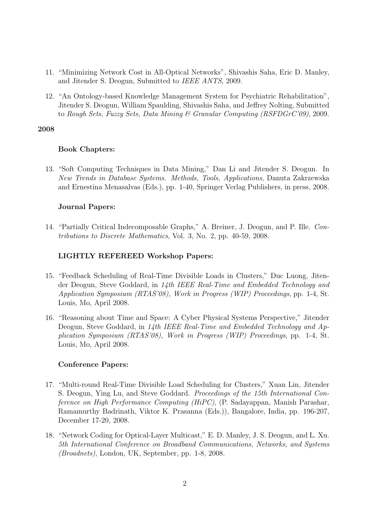- 11. "Minimizing Network Cost in All-Optical Networks", Shivashis Saha, Eric D. Manley, and Jitender S. Deogun, Submitted to IEEE ANTS, 2009.
- 12. "An Ontology-based Knowledge Management System for Psychiatric Rehabilitation", Jitender S. Deogun, William Spaulding, Shivashis Saha, and Jeffrey Nolting, Submitted to Rough Sets, Fuzzy Sets, Data Mining & Granular Computing (RSFDGrC'09), 2009.

## Book Chapters:

13. "Soft Computing Techniques in Data Mining," Dan Li and Jitender S. Deogun. In New Trends in Database Systems. Methods, Tools, Applications, Danuta Zakrzewska and Ernestina Menasalvas (Eds.), pp. 1-40, Springer Verlag Publishers, in press, 2008.

## Journal Papers:

14. "Partially Critical Indecomposable Graphs," A. Breiner, J. Deogun, and P. Ille. Contributions to Discrete Mathematics, Vol. 3, No. 2, pp. 40-59, 2008.

# LIGHTLY REFEREED Workshop Papers:

- 15. "Feedback Scheduling of Real-Time Divisible Loads in Clusters," Duc Luong, Jitender Deogun, Steve Goddard, in 14th IEEE Real-Time and Embedded Technology and Application Symposium (RTAS'08), Work in Progress (WIP) Proceedings, pp. 1-4, St. Louis, Mo, April 2008.
- 16. "Reasoning about Time and Space: A Cyber Physical Systems Perspective," Jitender Deogun, Steve Goddard, in 14th IEEE Real-Time and Embedded Technology and Application Symposium (RTAS'08), Work in Progress (WIP) Proceedings, pp. 1-4, St. Louis, Mo, April 2008.

## Conference Papers:

- 17. "Multi-round Real-Time Divisible Load Scheduling for Clusters," Xuan Lin, Jitender S. Deogun, Ying Lu, and Steve Goddard. Proceedings of the 15th International Conference on High Performance Computing (HiPC), (P. Sadayappan, Manish Parashar, Ramamurthy Badrinath, Viktor K. Prasanna (Eds.)), Bangalore, India, pp. 196-207, December 17-20, 2008.
- 18. "Network Coding for Optical-Layer Multicast," E. D. Manley, J. S. Deogun, and L. Xu. 5th International Conference on Broadband Communications, Networks, and Systems (Broadnets), London, UK, September, pp. 1-8, 2008.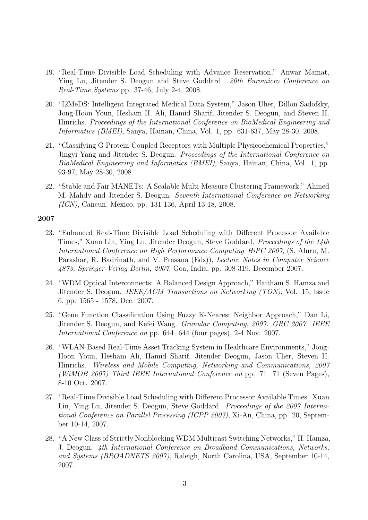- 19. "Real-Time Divisible Load Scheduling with Advance Reservation," Anwar Mamat, Ying Lu, Jitender S. Deogun and Steve Goddard. 20th Euromicro Conference on Real-Time Systems pp. 37-46, July 2-4, 2008.
- 20. "I2MeDS: Intelligent Integrated Medical Data System," Jason Uher, Dillon Sadofsky, Jong-Hoon Youn, Hesham H. Ali, Hamid Sharif, Jitender S. Deogun, and Steven H. Hinrichs. Proceedings of the International Conference on BioMedical Engineering and Informatics (BMEI), Sanya, Hainan, China, Vol. 1, pp. 631-637, May 28-30, 2008.
- 21. "Classifying G Protein-Coupled Receptors with Multiple Physicochemical Properties," Jingyi Yang and Jitender S. Deogun. Proceedings of the International Conference on BioMedical Engineering and Informatics (BMEI), Sanya, Hainan, China, Vol. 1, pp. 93-97, May 28-30, 2008.
- 22. "Stable and Fair MANETs: A Scalable Multi-Measure Clustering Framework," Ahmed M. Mahdy and Jitender S. Deogun. Seventh International Conference on Networking (ICN), Cancun, Mexico, pp. 131-136, April 13-18, 2008.

- 23. "Enhanced Real-Time Divisible Load Scheduling with Different Processor Available Times," Xuan Lin, Ying Lu, Jitender Deogun, Steve Goddard. Proceedings of the 14th International Conference on High Performance Computing–HiPC 2007, (S. Aluru, M. Parashar, R. Badrinath, and V. Prasana (Eds)), Lecture Notes in Computer Science 4873, Springer-Verlag Berlin, 2007, Goa, India, pp. 308-319, December 2007.
- 24. "WDM Optical Interconnects: A Balanced Design Approach," Haitham S. Hamza and Jitender S. Deogun. IEEE/ACM Transactions on Networking (TON), Vol. 15, Issue 6, pp. 1565 - 1578, Dec. 2007.
- 25. "Gene Function Classification Using Fuzzy K-Nearest Neighbor Approach," Dan Li, Jitender S. Deogun, and Kefei Wang. Granular Computing, 2007. GRC 2007. IEEE International Conference on pp. 644 644 (four pages), 2-4 Nov. 2007.
- 26. "WLAN-Based Real-Time Asset Tracking System in Healthcare Environments," Jong-Hoon Youn, Hesham Ali, Hamid Sharif, Jitender Deogun, Jason Uher, Steven H. Hinrichs. Wireless and Mobile Computing, Networking and Communications, 2007 (WiMOB 2007) Third IEEE International Conference on pp. 71 71 (Seven Pages), 8-10 Oct. 2007.
- 27. "Real-Time Divisible Load Scheduling with Different Processor Available Times. Xuan Lin, Ying Lu, Jitender S. Deogun, Steve Goddard. Proceedings of the 2007 International Conference on Parallel Processing (ICPP 2007), Xi-An, China, pp. 20, September 10-14, 2007.
- 28. "A New Class of Strictly Nonblocking WDM Multicast Switching Networks," H. Hamza, J. Deogun. 4th International Conference on Broadband Communications, Networks, and Systems (BROADNETS 2007), Raleigh, North Carolina, USA, September 10-14, 2007.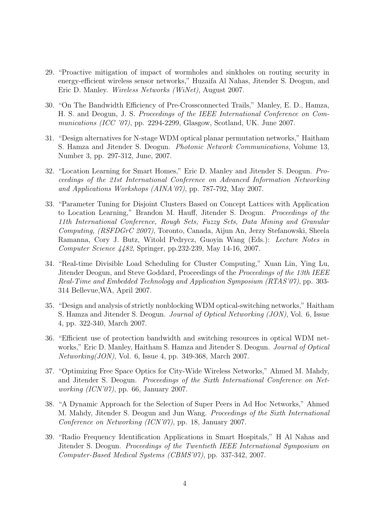- 29. "Proactive mitigation of impact of wormholes and sinkholes on routing security in energy-efficient wireless sensor networks," Huzaifa Al Nahas, Jitender S. Deogun, and Eric D. Manley. Wireless Networks (WiNet), August 2007.
- 30. "On The Bandwidth Efficiency of Pre-Crossconnected Trails," Manley, E. D., Hamza, H. S. and Deogun, J. S. Proceedings of the IEEE International Conference on Communications (ICC '07), pp. 2294-2299, Glasgow, Scotland, UK. June 2007.
- 31. "Design alternatives for N-stage WDM optical planar permutation networks," Haitham S. Hamza and Jitender S. Deogun. Photonic Network Communications, Volume 13, Number 3, pp. 297-312, June, 2007.
- 32. "Location Learning for Smart Homes," Eric D. Manley and Jitender S. Deogun. Proceedings of the 21st International Conference on Advanced Information Networking and Applications Workshops (AINA'07), pp. 787-792, May 2007.
- 33. "Parameter Tuning for Disjoint Clusters Based on Concept Lattices with Application to Location Learning," Brandon M. Hauff, Jitender S. Deogun. Proceedings of the 11th International Conference, Rough Sets, Fuzzy Sets, Data Mining and Granular Computing, (RSFDGrC 2007), Toronto, Canada, Aijun An, Jerzy Stefanowski, Sheela Ramanna, Cory J. Butz, Witold Pedrycz, Guoyin Wang (Eds.): Lecture Notes in Computer Science 4482, Springer, pp.232-239, May 14-16, 2007.
- 34. "Real-time Divisible Load Scheduling for Cluster Computing," Xuan Lin, Ying Lu, Jitender Deogun, and Steve Goddard, Proceedings of the Proceedings of the 13th IEEE Real-Time and Embedded Technology and Application Symposium (RTAS'07), pp. 303- 314 Bellevue,WA, April 2007.
- 35. "Design and analysis of strictly nonblocking WDM optical-switching networks," Haitham S. Hamza and Jitender S. Deogun. Journal of Optical Networking (JON), Vol. 6, Issue 4, pp. 322-340, March 2007.
- 36. "Efficient use of protection bandwidth and switching resources in optical WDM networks," Eric D. Manley, Haitham S. Hamza and Jitender S. Deogun. Journal of Optical Networking(JON), Vol. 6, Issue 4, pp. 349-368, March 2007.
- 37. "Optimizing Free Space Optics for City-Wide Wireless Networks," Ahmed M. Mahdy, and Jitender S. Deogun. Proceedings of the Sixth International Conference on Networking (ICN'07), pp. 66, January 2007.
- 38. "A Dynamic Approach for the Selection of Super Peers in Ad Hoc Networks," Ahmed M. Mahdy, Jitender S. Deogun and Jun Wang. Proceedings of the Sixth International Conference on Networking (ICN'07), pp. 18, January 2007.
- 39. "Radio Frequency Identification Applications in Smart Hospitals," H Al Nahas and Jitender S. Deogun. Proceedings of the Twentieth IEEE International Symposium on Computer-Based Medical Systems (CBMS'07), pp. 337-342, 2007.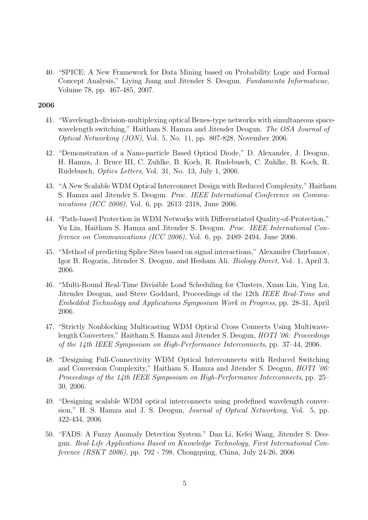40. "SPICE: A New Framework for Data Mining based on Probability Logic and Formal Concept Analysis," Liying Jiang and Jitender S. Deogun. Fundamenta Informaticae, Volume 78, pp. 467-485, 2007.

- 41. "Wavelength-division-multiplexing optical Benes-type networks with simultaneous spacewavelength switching," Haitham S. Hamza and Jitender Deogun. The OSA Journal of Optical Networking (JON), Vol. 5, No. 11, pp. 807-828, November 2006.
- 42. "Demonstration of a Nano-particle Based Optical Diode," D. Alexander, J. Deogun, H. Hamza, J. Bruce III, C. Zuhlke, B. Koch, R. Rudebusch, C. Zuhlke, B. Koch, R. Rudebusch, Optics Letters, Vol. 31, No. 13, July 1, 2006.
- 43. "A New Scalable WDM Optical Interconnect Design with Reduced Complexity," Haitham S. Hamza and Jitender S. Deogun. Proc. IEEE International Conference on Communications (ICC 2006), Vol. 6, pp. 2613–2318, June 2006.
- 44. "Path-based Protection in WDM Networks with Differentiated Quality-of-Protection," Yu Lin, Haitham S. Hamza and Jitender S. Deogun. Proc. IEEE International Conference on Communications (ICC 2006), Vol. 6, pp. 2489–2494, June 2006.
- 45. "Method of predicting Splice Sites based on signal interactions," Alexander Churbanov, Igor B. Rogozin, Jitender S. Deogun, and Hesham Ali. Biology Direct, Vol. 1, April 3, 2006.
- 46. "Multi-Round Real-Time Divisible Load Scheduling for Clusters, Xuan Lin, Ying Lu, Jitender Deogun, and Steve Goddard, Proceedings of the 12th IEEE Real-Time and Embedded Technology and Applications Symposium Work in Progress, pp. 28-31, April 2006.
- 47. "Strictly Nonblocking Multicasting WDM Optical Cross Connects Using Multiwavelength Converters," Haitham S. Hamza and Jitender S. Deogun, *HOTI '06: Proceedings* of the 14th IEEE Symposium on High-Performance Interconnects, pp. 37–44, 2006.
- 48. "Designing Full-Connectivity WDM Optical Interconnects with Reduced Switching and Conversion Complexity," Haitham S. Hamza and Jitender S. Deogun, HOTI '06: Proceedings of the 14th IEEE Symposium on High-Performance Interconnects, pp. 25– 30, 2006.
- 49. "Designing scalable WDM optical interconnects using predefined wavelength conversion," H. S. Hamza and J. S. Deogun, Journal of Optical Networking, Vol. 5, pp. 422-434, 2006.
- 50. "FADS: A Fuzzy Anomaly Detection System." Dan Li, Kefei Wang, Jitender S. Deogun. Real-Life Applications Based on Knowledge Technology, First International Conference (RSKT 2006), pp. 792 - 798, Chongquing, China, July 24-26, 2006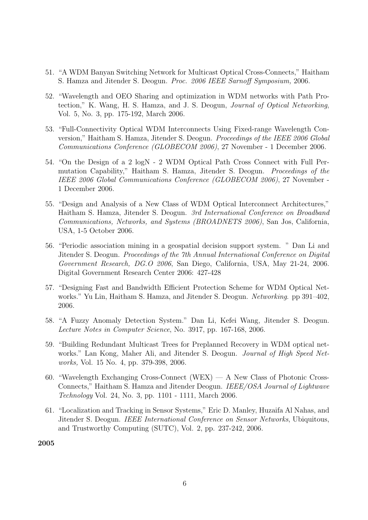- 51. "A WDM Banyan Switching Network for Multicast Optical Cross-Connects," Haitham S. Hamza and Jitender S. Deogun. Proc. 2006 IEEE Sarnoff Symposium, 2006.
- 52. "Wavelength and OEO Sharing and optimization in WDM networks with Path Protection," K. Wang, H. S. Hamza, and J. S. Deogun, Journal of Optical Networking, Vol. 5, No. 3, pp. 175-192, March 2006.
- 53. "Full-Connectivity Optical WDM Interconnects Using Fixed-range Wavelength Conversion," Haitham S. Hamza, Jitender S. Deogun. Proceedings of the IEEE 2006 Global Communications Conference (GLOBECOM 2006), 27 November - 1 December 2006.
- 54. "On the Design of a 2 logN 2 WDM Optical Path Cross Connect with Full Permutation Capability," Haitham S. Hamza, Jitender S. Deogun. Proceedings of the IEEE 2006 Global Communications Conference (GLOBECOM 2006), 27 November - 1 December 2006.
- 55. "Design and Analysis of a New Class of WDM Optical Interconnect Architectures," Haitham S. Hamza, Jitender S. Deogun. 3rd International Conference on Broadband Communications, Networks, and Systems (BROADNETS 2006), San Jos, California, USA, 1-5 October 2006.
- 56. "Periodic association mining in a geospatial decision support system. " Dan Li and Jitender S. Deogun. Proceedings of the 7th Annual International Conference on Digital Government Research, DG.O 2006, San Diego, California, USA, May 21-24, 2006. Digital Government Research Center 2006: 427-428
- 57. "Designing Fast and Bandwidth Efficient Protection Scheme for WDM Optical Networks." Yu Lin, Haitham S. Hamza, and Jitender S. Deogun. Networking. pp 391–402, 2006.
- 58. "A Fuzzy Anomaly Detection System." Dan Li, Kefei Wang, Jitender S. Deogun. Lecture Notes in Computer Science, No. 3917, pp. 167-168, 2006.
- 59. "Building Redundant Multicast Trees for Preplanned Recovery in WDM optical networks." Lan Kong, Maher Ali, and Jitender S. Deogun. *Journal of High Speed Net*works, Vol. 15 No. 4, pp. 379-398, 2006.
- 60. "Wavelength Exchanging Cross-Connect (WEX) A New Class of Photonic Cross-Connects," Haitham S. Hamza and Jitender Deogun. IEEE/OSA Journal of Lightwave Technology Vol. 24, No. 3, pp. 1101 - 1111, March 2006.
- 61. "Localization and Tracking in Sensor Systems," Eric D. Manley, Huzaifa Al Nahas, and Jitender S. Deogun. IEEE International Conference on Sensor Networks, Ubiquitous, and Trustworthy Computing (SUTC), Vol. 2, pp. 237-242, 2006.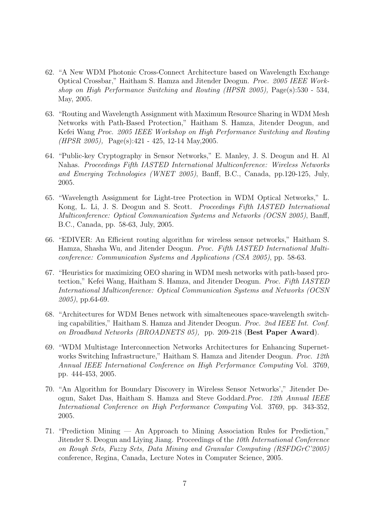- 62. "A New WDM Photonic Cross-Connect Architecture based on Wavelength Exchange Optical Crossbar," Haitham S. Hamza and Jitender Deogun. Proc. 2005 IEEE Workshop on High Performance Switching and Routing (HPSR 2005), Page(s):530 - 534, May, 2005.
- 63. "Routing and Wavelength Assignment with Maximum Resource Sharing in WDM Mesh Networks with Path-Based Protection," Haitham S. Hamza, Jitender Deogun, and Kefei Wang Proc. 2005 IEEE Workshop on High Performance Switching and Routing (HPSR 2005), Page(s):421 - 425, 12-14 May,2005.
- 64. "Public-key Cryptography in Sensor Networks," E. Manley, J. S. Deogun and H. Al Nahas. Proceedings Fifth IASTED International Multiconference: Wireless Networks and Emerging Technologies (WNET 2005), Banff, B.C., Canada, pp.120-125, July, 2005.
- 65. "Wavelength Assignment for Light-tree Protection in WDM Optical Networks," L. Kong, L. Li, J. S. Deogun and S. Scott. Proceedings Fifth IASTED International Multiconference: Optical Communication Systems and Networks (OCSN 2005), Banff, B.C., Canada, pp. 58-63, July, 2005.
- 66. "EDIVER: An Efficient routing algorithm for wireless sensor networks," Haitham S. Hamza, Shasha Wu, and Jitender Deogun. Proc. Fifth IASTED International Multiconference: Communication Systems and Applications (CSA 2005), pp. 58-63.
- 67. "Heuristics for maximizing OEO sharing in WDM mesh networks with path-based protection," Kefei Wang, Haitham S. Hamza, and Jitender Deogun. Proc. Fifth IASTED International Multiconference: Optical Communication Systems and Networks (OCSN 2005), pp.64-69.
- 68. "Architectures for WDM Benes network with simalteneoues space-wavelength switching capabilities," Haitham S. Hamza and Jitender Deogun. Proc. 2nd IEEE Int. Conf. on Broadband Networks (BROADNETS 05), pp. 209-218 (Best Paper Award).
- 69. "WDM Multistage Interconnection Networks Architectures for Enhancing Supernetworks Switching Infrastructure," Haitham S. Hamza and Jitender Deogun. Proc. 12th Annual IEEE International Conference on High Performance Computing Vol. 3769, pp. 444-453, 2005.
- 70. "An Algorithm for Boundary Discovery in Wireless Sensor Networks'," Jitender Deogun, Saket Das, Haitham S. Hamza and Steve Goddard.Proc. 12th Annual IEEE International Conference on High Performance Computing Vol. 3769, pp. 343-352, 2005.
- 71. "Prediction Mining An Approach to Mining Association Rules for Prediction," Jitender S. Deogun and Liying Jiang. Proceedings of the 10th International Conference on Rough Sets, Fuzzy Sets, Data Mining and Granular Computing (RSFDGrC'2005) conference, Regina, Canada, Lecture Notes in Computer Science, 2005.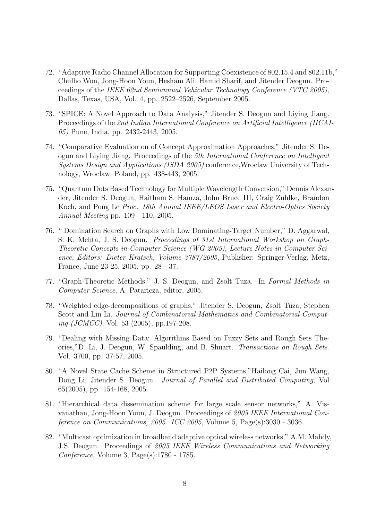- 72. "Adaptive Radio Channel Allocation for Supporting Coexistence of 802.15.4 and 802.11b," Chulho Won, Jong-Hoon Youn, Hesham Ali, Hamid Sharif, and Jitender Deogun. Proceedings of the IEEE 62nd Semiannual Vehicular Technology Conference (VTC 2005), Dallas, Texas, USA, Vol. 4, pp. 2522–2526, September 2005.
- 73. "SPICE: A Novel Approach to Data Analysis," Jitender S. Deogun and Liying Jiang. Proceedings of the 2nd Indian International Conference on Artificial Intelligence (IICAI-05) Pune, India, pp. 2432-2443, 2005.
- 74. "Comparative Evaluation on of Concept Approximation Approaches," Jitender S. Deogun and Liying Jiang. Proceedings of the 5th International Conference on Intelligent Systems Design and Applications (ISDA 2005) conference,Wroclaw University of Technology, Wroclaw, Poland, pp. 438-443, 2005.
- 75. "Quantum Dots Based Technology for Multiple Wavelength Conversion," Dennis Alexander, Jitender S. Deogun, Haitham S. Hamza, John Bruce III, Craig Zuhlke, Brandon Koch, and Pong Le Proc. 18th Annual IEEE/LEOS Laser and Electro-Optics Society Annual Meeting pp. 109 - 110, 2005.
- 76. " Domination Search on Graphs with Low Dominating-Target Number," D. Aggarwal, S. K. Mehta, J. S. Deogun. Proceedings of 31st International Workshop on Graph-Theoretic Concepts in Computer Science (WG 2005), Lecture Notes in Computer Science, Editors: Dieter Kratsch, Volume 3787/2005, Publisher: Springer-Verlag, Metz, France, June 23-25, 2005, pp. 28 - 37.
- 77. "Graph-Theoretic Methods," J. S. Deogun, and Zsolt Tuza. In Formal Methods in Computer Science, A. Pataricza, editor, 2005.
- 78. "Weighted edge-decompositions of graphs," Jitender S. Deogun, Zsolt Tuza, Stephen Scott and Lin Li. Journal of Combinatorial Mathematics and Combinatorial Computing (JCMCC), Vol. 53 (2005), pp.197-208.
- 79. "Dealing with Missing Data: Algorithms Based on Fuzzy Sets and Rough Sets Theories,"D. Li, J. Deogun, W. Spaulding, and B. Shuart. Transactions on Rough Sets. Vol. 3700, pp. 37-57, 2005.
- 80. "A Novel State Cache Scheme in Structured P2P Systems,"Hailong Cai, Jun Wang, Dong Li, Jitender S. Deogun. Journal of Parallel and Distributed Computing, Vol 65(2005), pp. 154-168, 2005.
- 81. "Hierarchical data dissemination scheme for large scale sensor networks," A. Visvanathan, Jong-Hoon Youn, J. Deogun. Proceedings of 2005 IEEE International Conference on Communications, 2005. ICC 2005, Volume 5, Page(s):3030 - 3036.
- 82. "Multicast optimization in broadband adaptive optical wireless networks," A.M. Mahdy, J.S. Deogun. Proceedings of 2005 IEEE Wireless Communications and Networking Conference, Volume 3, Page(s):1780 - 1785.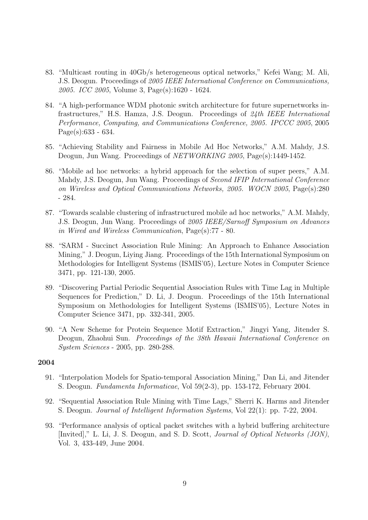- 83. "Multicast routing in 40Gb/s heterogeneous optical networks," Kefei Wang; M. Ali, J.S. Deogun. Proceedings of 2005 IEEE International Conference on Communications, 2005. ICC 2005, Volume 3, Page(s):1620 - 1624.
- 84. "A high-performance WDM photonic switch architecture for future supernetworks infrastructures," H.S. Hamza, J.S. Deogun. Proceedings of 24th IEEE International Performance, Computing, and Communications Conference, 2005. IPCCC 2005, 2005 Page(s):633 - 634.
- 85. "Achieving Stability and Fairness in Mobile Ad Hoc Networks," A.M. Mahdy, J.S. Deogun, Jun Wang. Proceedings of *NETWORKING 2005*, Page(s):1449-1452.
- 86. "Mobile ad hoc networks: a hybrid approach for the selection of super peers," A.M. Mahdy, J.S. Deogun, Jun Wang. Proceedings of Second IFIP International Conference on Wireless and Optical Communications Networks, 2005. WOCN 2005, Page(s):280 - 284.
- 87. "Towards scalable clustering of infrastructured mobile ad hoc networks," A.M. Mahdy, J.S. Deogun, Jun Wang. Proceedings of 2005 IEEE/Sarnoff Symposium on Advances in Wired and Wireless Communication, Page(s):77 - 80.
- 88. "SARM Succinct Association Rule Mining: An Approach to Enhance Association Mining," J. Deogun, Liying Jiang. Proceedings of the 15th International Symposium on Methodologies for Intelligent Systems (ISMIS'05), Lecture Notes in Computer Science 3471, pp. 121-130, 2005.
- 89. "Discovering Partial Periodic Sequential Association Rules with Time Lag in Multiple Sequences for Prediction," D. Li, J. Deogun. Proceedings of the 15th International Symposium on Methodologies for Intelligent Systems (ISMIS'05), Lecture Notes in Computer Science 3471, pp. 332-341, 2005.
- 90. "A New Scheme for Protein Sequence Motif Extraction," Jingyi Yang, Jitender S. Deogun, Zhaohui Sun. Proceedings of the 38th Hawaii International Conference on System Sciences - 2005, pp. 280-288.

- 91. "Interpolation Models for Spatio-temporal Association Mining," Dan Li, and Jitender S. Deogun. Fundamenta Informaticae, Vol 59(2-3), pp. 153-172, February 2004.
- 92. "Sequential Association Rule Mining with Time Lags," Sherri K. Harms and Jitender S. Deogun. Journal of Intelligent Information Systems, Vol 22(1): pp. 7-22, 2004.
- 93. "Performance analysis of optical packet switches with a hybrid buffering architecture [Invited]," L. Li, J. S. Deogun, and S. D. Scott, Journal of Optical Networks (JON), Vol. 3, 433-449, June 2004.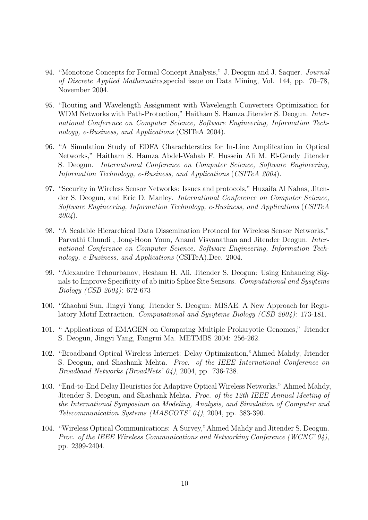- 94. "Monotone Concepts for Formal Concept Analysis," J. Deogun and J. Saquer. Journal of Discrete Applied Mathematics,special issue on Data Mining, Vol. 144, pp. 70–78, November 2004.
- 95. "Routing and Wavelength Assignment with Wavelength Converters Optimization for WDM Networks with Path-Protection," Haitham S. Hamza Jitender S. Deogun. International Conference on Computer Science, Software Engineering, Information Technology, e-Business, and Applications (CSITeA 2004).
- 96. "A Simulation Study of EDFA Charachterstics for In-Line Amplifcation in Optical Networks," Haitham S. Hamza Abdel-Wahab F. Hussein Ali M. El-Gendy Jitender S. Deogun. International Conference on Computer Science, Software Engineering, Information Technology, e-Business, and Applications (CSITeA 2004).
- 97. "Security in Wireless Sensor Networks: Issues and protocols," Huzaifa Al Nahas, Jitender S. Deogun, and Eric D. Manley. International Conference on Computer Science, Software Engineering, Information Technology, e-Business, and Applications (CSITeA 2004).
- 98. "A Scalable Hierarchical Data Dissemination Protocol for Wireless Sensor Networks," Parvathi Chundi , Jong-Hoon Youn, Anand Visvanathan and Jitender Deogun. International Conference on Computer Science, Software Engineering, Information Technology, e-Business, and Applications (CSITeA),Dec. 2004.
- 99. "Alexandre Tchourbanov, Hesham H. Ali, Jitender S. Deogun: Using Enhancing Signals to Improve Specificity of ab initio Splice Site Sensors. Computational and Sysytems Biology (CSB 2004): 672-673
- 100. "Zhaohui Sun, Jingyi Yang, Jitender S. Deogun: MISAE: A New Approach for Regulatory Motif Extraction. Computational and Sysytems Biology (CSB 2004): 173-181.
- 101. " Applications of EMAGEN on Comparing Multiple Prokaryotic Genomes," Jitender S. Deogun, Jingyi Yang, Fangrui Ma. METMBS 2004: 256-262.
- 102. "Broadband Optical Wireless Internet: Delay Optimization,"Ahmed Mahdy, Jitender S. Deogun, and Shashank Mehta. Proc. of the IEEE International Conference on Broadband Networks (BroadNets' 04), 2004, pp. 736-738.
- 103. "End-to-End Delay Heuristics for Adaptive Optical Wireless Networks," Ahmed Mahdy, Jitender S. Deogun, and Shashank Mehta. Proc. of the 12th IEEE Annual Meeting of the International Symposium on Modeling, Analysis, and Simulation of Computer and Telecommunication Systems (MASCOTS' 04), 2004, pp. 383-390.
- 104. "Wireless Optical Communications: A Survey,"Ahmed Mahdy and Jitender S. Deogun. Proc. of the IEEE Wireless Communications and Networking Conference (WCNC' 04), pp. 2399-2404.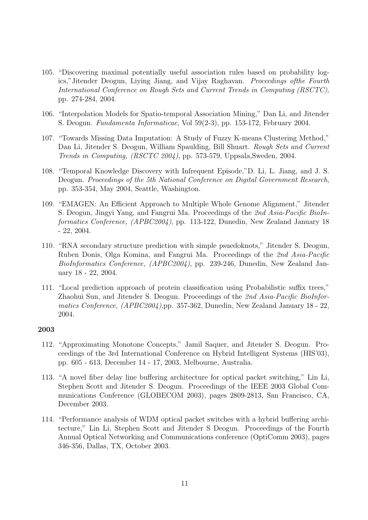- 105. "Discovering maximal potentially useful association rules based on probability logics,"Jitender Deogun, Liying Jiang, and Vijay Raghavan. Proceedings ofthe Fourth International Conference on Rough Sets and Current Trends in Computing (RSCTC), pp. 274-284, 2004.
- 106. "Interpolation Models for Spatio-temporal Association Mining," Dan Li, and Jitender S. Deogun. Fundamenta Informaticae, Vol 59(2-3), pp. 153-172, February 2004.
- 107. "Towards Missing Data Imputation: A Study of Fuzzy K-means Clustering Method," Dan Li, Jitender S. Deogun, William Spaulding, Bill Shuart. Rough Sets and Current Trends in Computing, (RSCTC 2004), pp. 573-579, Uppsala,Sweden, 2004.
- 108. "Temporal Knowledge Discovery with Infrequent Episode,"D. Li, L. Jiang, and J. S. Deogun. Proceedings of the 5th National Conference on Digital Government Research, pp. 353-354, May 2004, Seattle, Washington.
- 109. "EMAGEN: An Efficient Approach to Multiple Whole Genome Alignment," Jitender S. Deogun, Jingyi Yang, and Fangrui Ma. Proceedings of the 2nd Asia-Pacific BioInformatics Conference, (APBC2004), pp. 113-122, Dunedin, New Zealand January 18 - 22, 2004.
- 110. "RNA secondary structure prediction with simple psuedoknots," Jitender S. Deogun, Ruben Donis, Olga Komina, and Fangrui Ma. Proceedings of the 2nd Asia-Pacific BioInformatics Conference, (APBC2004), pp. 239-246, Dunedin, New Zealand January 18 - 22, 2004.
- 111. "Local prediction approach of protein classification using Probabilistic suffix trees," Zhaohui Sun, and Jitender S. Deogun. Proceedings of the 2nd Asia-Pacific BioInformatics Conference, (APBC2004),pp. 357-362, Dunedin, New Zealand January 18 - 22, 2004.

- 112. "Approximating Monotone Concepts," Jamil Saquer, and Jitender S. Deogun. Proceedings of the 3rd International Conference on Hybrid Intelligent Systems (HIS'03), pp. 605 - 613, December 14 - 17, 2003, Melbourne, Australia.
- 113. "A novel fiber delay line buffering architecture for optical packet switching," Lin Li, Stephen Scott and Jitender S. Deogun. Proceedings of the IEEE 2003 Global Communications Conference (GLOBECOM 2003), pages 2809-2813, San Francisco, CA, December 2003.
- 114. "Performance analysis of WDM optical packet switches with a hybrid buffering architecture," Lin Li, Stephen Scott and Jitender S Deogun. Proceedings of the Fourth Annual Optical Networking and Communications conference (OptiComm 2003), pages 346-356, Dallas, TX, October 2003.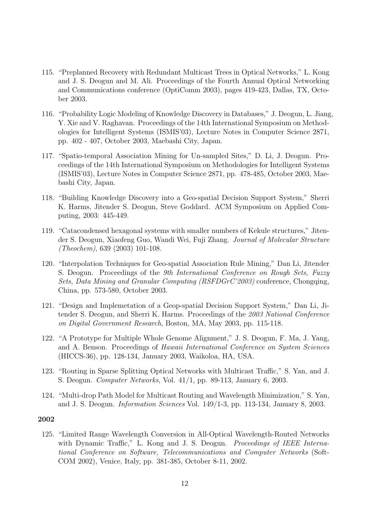- 115. "Preplanned Recovery with Redundant Multicast Trees in Optical Networks," L. Kong and J. S. Deogun and M. Ali. Proceedings of the Fourth Annual Optical Networking and Communications conference (OptiComm 2003), pages 419-423, Dallas, TX, October 2003.
- 116. "Probability Logic Modeling of Knowledge Discovery in Databases," J. Deogun, L. Jiang, Y. Xie and V. Raghavan. Proceedings of the 14th International Symposium on Methodologies for Intelligent Systems (ISMIS'03), Lecture Notes in Computer Science 2871, pp. 402 - 407, October 2003, Maebashi City, Japan.
- 117. "Spatio-temporal Association Mining for Un-sampled Sites," D. Li, J. Deogun. Proceedings of the 14th International Symposium on Methodologies for Intelligent Systems (ISMIS'03), Lecture Notes in Computer Science 2871, pp. 478-485, October 2003, Maebashi City, Japan.
- 118. "Building Knowledge Discovery into a Geo-spatial Decision Support System," Sherri K. Harms, Jitender S. Deogun, Steve Goddard. ACM Symposium on Applied Computing, 2003: 445-449.
- 119. "Catacondensed hexagonal systems with smaller numbers of Kekule structures," Jitender S. Deogun, Xiaofeng Guo, Wandi Wei, Fuji Zhang. Journal of Molecular Structure (Theochem), 639 (2003) 101-108.
- 120. "Interpolation Techniques for Geo-spatial Association Rule Mining," Dan Li, Jitender S. Deogun. Proceedings of the 9th International Conference on Rough Sets, Fuzzy Sets, Data Mining and Granular Computing (RSFDGrC'2003) conference, Chongqing, China, pp. 573-580, October 2003.
- 121. "Design and Implemetation of a Geop-spatial Decision Support System," Dan Li, Jitender S. Deogun, and Sherri K. Harms. Proceedings of the 2003 National Conference on Digital Government Research, Boston, MA, May 2003, pp. 115-118.
- 122. "A Prototype for Multiple Whole Genome Alignment," J. S. Deogun, F. Ma, J. Yang, and A. Benson. Proceedings of Hawaii International Conference on System Sciences (HICCS-36), pp. 128-134, January 2003, Waikoloa, HA, USA.
- 123. "Routing in Sparse Splitting Optical Networks with Multicast Traffic," S. Yan, and J. S. Deogun. Computer Networks, Vol. 41/1, pp. 89-113, January 6, 2003.
- 124. "Multi-drop Path Model for Multicast Routing and Wavelength Minimization," S. Yan, and J. S. Deogun. Information Sciences Vol. 149/1-3, pp. 113-134, January 8, 2003.

125. "Limited Range Wavelength Conversion in All-Optical Wavelength-Routed Networks with Dynamic Traffic," L. Kong and J. S. Deogun. *Proceedings of IEEE Interna*tional Conference on Software, Telecommunications and Computer Networks (Soft-COM 2002), Venice, Italy, pp. 381-385, October 8-11, 2002.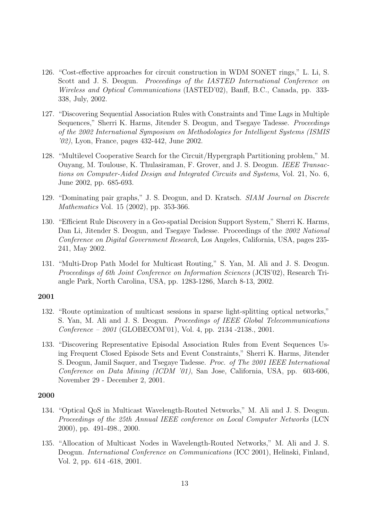- 126. "Cost-effective approaches for circuit construction in WDM SONET rings," L. Li, S. Scott and J. S. Deogun. Proceedings of the IASTED International Conference on Wireless and Optical Communications (IASTED'02), Banff, B.C., Canada, pp. 333- 338, July, 2002.
- 127. "Discovering Sequential Association Rules with Constraints and Time Lags in Multiple Sequences," Sherri K. Harms, Jitender S. Deogun, and Tsegaye Tadesse. *Proceedings* of the 2002 International Symposium on Methodologies for Intelligent Systems (ISMIS '02), Lyon, France, pages 432-442, June 2002.
- 128. "Multilevel Cooperative Search for the Circuit/Hypergraph Partitioning problem," M. Ouyang, M. Toulouse, K. Thulasiraman, F. Grover, and J. S. Deogun. IEEE Transactions on Computer-Aided Design and Integrated Circuits and Systems, Vol. 21, No. 6, June 2002, pp. 685-693.
- 129. "Dominating pair graphs," J. S. Deogun, and D. Kratsch. SIAM Journal on Discrete Mathematics Vol. 15 (2002), pp. 353-366.
- 130. "Efficient Rule Discovery in a Geo-spatial Decision Support System," Sherri K. Harms, Dan Li, Jitender S. Deogun, and Tsegaye Tadesse. Proceedings of the 2002 National Conference on Digital Government Research, Los Angeles, California, USA, pages 235- 241, May 2002.
- 131. "Multi-Drop Path Model for Multicast Routing," S. Yan, M. Ali and J. S. Deogun. Proceedings of 6th Joint Conference on Information Sciences (JCIS'02), Research Triangle Park, North Carolina, USA, pp. 1283-1286, March 8-13, 2002.

- 132. "Route optimization of multicast sessions in sparse light-splitting optical networks," S. Yan, M. Ali and J. S. Deogun. Proceedings of IEEE Global Telecommunications Conference – 2001 (GLOBECOM'01), Vol. 4, pp. 2134 -2138., 2001.
- 133. "Discovering Representative Episodal Association Rules from Event Sequences Using Frequent Closed Episode Sets and Event Constraints," Sherri K. Harms, Jitender S. Deogun, Jamil Saquer, and Tsegaye Tadesse. Proc. of The 2001 IEEE International Conference on Data Mining (ICDM '01), San Jose, California, USA, pp. 603-606, November 29 - December 2, 2001.

- 134. "Optical QoS in Multicast Wavelength-Routed Networks," M. Ali and J. S. Deogun. Proceedings of the 25th Annual IEEE conference on Local Computer Networks (LCN 2000), pp. 491-498., 2000.
- 135. "Allocation of Multicast Nodes in Wavelength-Routed Networks," M. Ali and J. S. Deogun. International Conference on Communications (ICC 2001), Helinski, Finland, Vol. 2, pp. 614 -618, 2001.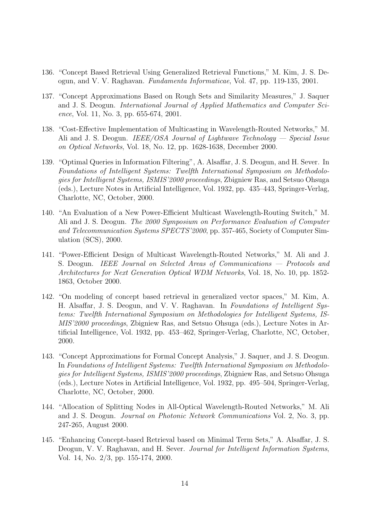- 136. "Concept Based Retrieval Using Generalized Retrieval Functions," M. Kim, J. S. Deogun, and V. V. Raghavan. Fundamenta Informaticae, Vol. 47, pp. 119-135, 2001.
- 137. "Concept Approximations Based on Rough Sets and Similarity Measures," J. Saquer and J. S. Deogun. International Journal of Applied Mathematics and Computer Science, Vol. 11, No. 3, pp. 655-674, 2001.
- 138. "Cost-Effective Implementation of Multicasting in Wavelength-Routed Networks," M. Ali and J. S. Deogun. IEEE/OSA Journal of Lightwave Technology — Special Issue on Optical Networks, Vol. 18, No. 12, pp. 1628-1638, December 2000.
- 139. "Optimal Queries in Information Filtering", A. Alsaffar, J. S. Deogun, and H. Sever. In Foundations of Intelligent Systems: Twelfth International Symposium on Methodologies for Intelligent Systems, ISMIS'2000 proceedings, Zbigniew Ras, and Setsuo Ohsuga (eds.), Lecture Notes in Artificial Intelligence, Vol. 1932, pp. 435–443, Springer-Verlag, Charlotte, NC, October, 2000.
- 140. "An Evaluation of a New Power-Efficient Multicast Wavelength-Routing Switch," M. Ali and J. S. Deogun. The 2000 Symposium on Performance Evaluation of Computer and Telecommunication Systems SPECTS'2000, pp. 357-465, Society of Computer Simulation (SCS), 2000.
- 141. "Power-Efficient Design of Multicast Wavelength-Routed Networks," M. Ali and J. S. Deogun. IEEE Journal on Selected Areas of Communications — Protocols and Architectures for Next Generation Optical WDM Networks, Vol. 18, No. 10, pp. 1852- 1863, October 2000.
- 142. "On modeling of concept based retrieval in generalized vector spaces," M. Kim, A. H. Alsaffar, J. S. Deogun, and V. V. Raghavan. In Foundations of Intelligent Systems: Twelfth International Symposium on Methodologies for Intelligent Systems, IS-MIS'2000 proceedings, Zbigniew Ras, and Setsuo Ohsuga (eds.), Lecture Notes in Artificial Intelligence, Vol. 1932, pp. 453–462, Springer-Verlag, Charlotte, NC, October, 2000.
- 143. "Concept Approximations for Formal Concept Analysis," J. Saquer, and J. S. Deogun. In Foundations of Intelligent Systems: Twelfth International Symposium on Methodologies for Intelligent Systems, ISMIS'2000 proceedings, Zbigniew Ras, and Setsuo Ohsuga (eds.), Lecture Notes in Artificial Intelligence, Vol. 1932, pp. 495–504, Springer-Verlag, Charlotte, NC, October, 2000.
- 144. "Allocation of Splitting Nodes in All-Optical Wavelength-Routed Networks," M. Ali and J. S. Deogun. Journal on Photonic Network Communications Vol. 2, No. 3, pp. 247-265, August 2000.
- 145. "Enhancing Concept-based Retrieval based on Minimal Term Sets," A. Alsaffar, J. S. Deogun, V. V. Raghavan, and H. Sever. Journal for Intelligent Information Systems. Vol. 14, No. 2/3, pp. 155-174, 2000.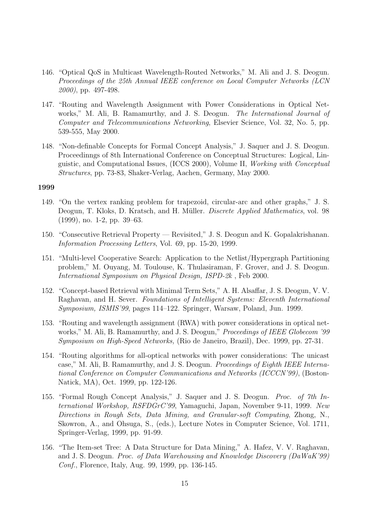- 146. "Optical QoS in Multicast Wavelength-Routed Networks," M. Ali and J. S. Deogun. Proceedings of the 25th Annual IEEE conference on Local Computer Networks (LCN 2000), pp. 497-498.
- 147. "Routing and Wavelength Assignment with Power Considerations in Optical Networks," M. Ali, B. Ramamurthy, and J. S. Deogun. The International Journal of Computer and Telecommunications Networking, Elsevier Science, Vol. 32, No. 5, pp. 539-555, May 2000.
- 148. "Non-definable Concepts for Formal Concept Analysis," J. Saquer and J. S. Deogun. Proceedinngs of 8th International Conference on Conceptual Structures: Logical, Linguistic, and Computational Issues, (ICCS 2000), Volume II, Working with Conceptual Structures, pp. 73-83, Shaker-Verlag, Aachen, Germany, May 2000.

- 149. "On the vertex ranking problem for trapezoid, circular-arc and other graphs," J. S. Deogun, T. Kloks, D. Kratsch, and H. Müller. *Discrete Applied Mathematics*, vol. 98 (1999), no. 1-2, pp. 39–63.
- 150. "Consecutive Retrieval Property Revisited," J. S. Deogun and K. Gopalakrishanan. Information Processing Letters, Vol. 69, pp. 15-20, 1999.
- 151. "Multi-level Cooperative Search: Application to the Netlist/Hypergraph Partitioning problem," M. Ouyang, M. Toulouse, K. Thulasiraman, F. Grover, and J. S. Deogun. International Symposium on Physical Design, ISPD-2k , Feb 2000.
- 152. "Concept-based Retrieval with Minimal Term Sets," A. H. Alsaffar, J. S. Deogun, V. V. Raghavan, and H. Sever. Foundations of Intelligent Systems: Eleventh International Symposium, ISMIS'99, pages 114–122. Springer, Warsaw, Poland, Jun. 1999.
- 153. "Routing and wavelength assignment (RWA) with power considerations in optical networks," M. Ali, B. Ramamurthy, and J. S. Deogun," Proceedings of IEEE Globecom '99 Symposium on High-Speed Networks, (Rio de Janeiro, Brazil), Dec. 1999, pp. 27-31.
- 154. "Routing algorithms for all-optical networks with power considerations: The unicast case," M. Ali, B. Ramamurthy, and J. S. Deogun. Proceedings of Eighth IEEE International Conference on Computer Communications and Networks (ICCCN'99), (Boston-Natick, MA), Oct. 1999, pp. 122-126.
- 155. "Formal Rough Concept Analysis," J. Saquer and J. S. Deogun. Proc. of 7th International Workshop, RSFDGrC'99, Yamaguchi, Japan, November 9-11, 1999. New Directions in Rough Sets, Data Mining, and Granular-soft Computing, Zhong, N., Skowron, A., and Ohsuga, S., (eds.), Lecture Notes in Computer Science, Vol. 1711, Springer-Verlag, 1999, pp. 91-99.
- 156. "The Item-set Tree: A Data Structure for Data Mining," A. Hafez, V. V. Raghavan, and J. S. Deogun. Proc. of Data Warehousing and Knowledge Discovery (DaWaK'99) Conf., Florence, Italy, Aug. 99, 1999, pp. 136-145.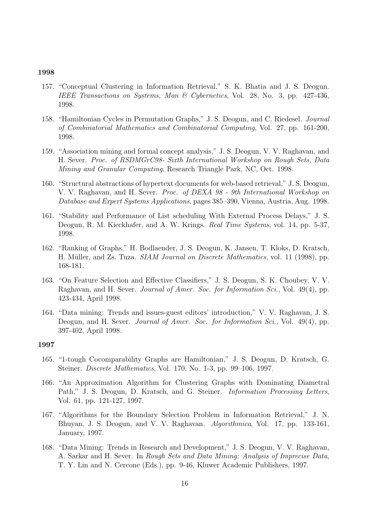- 157. "Conceptual Clustering in Information Retrieval," S. K. Bhatia and J. S. Deogun. IEEE Transactions on Systems, Man & Cybernetics, Vol. 28, No. 3, pp. 427-436, 1998.
- 158. "Hamiltonian Cycles in Permutation Graphs," J. S. Deogun, and C. Riedesel. Journal of Combinatorial Mathematics and Combinatorial Computing, Vol. 27, pp. 161-200, 1998.
- 159. "Association mining and formal concept analysis," J. S. Deogun, V. V. Raghavan, and H. Sever. Proc. of RSDMGrC98- Sixth International Workshop on Rough Sets, Data Mining and Granular Computing, Research Triangle Park, NC, Oct. 1998.
- 160. "Structural abstractions of hypertext documents for web-based retrieval," J. S. Deogun, V. V. Raghavan, and H. Sever. Proc. of DEXA 98 - 9th International Workshop on Database and Expert Systems Applications, pages 385–390, Vienna, Austria, Aug. 1998.
- 161. "Stability and Performance of List scheduling With External Process Delays," J. S. Deogun, R. M. Kieckhafer, and A. W. Krings. *Real Time Systems*, vol. 14, pp. 5-37, 1998.
- 162. "Ranking of Graphs," H. Bodlaender, J. S. Deogun, K. Jansen, T. Kloks, D. Kratsch, H. Müller, and Zs. Tuza. *SIAM Journal on Discrete Mathematics*, vol. 11 (1998), pp. 168-181.
- 163. "On Feature Selection and Effective Classifiers," J. S. Deogun, S. K. Choubey, V. V. Raghavan, and H. Sever. Journal of Amer. Soc. for Information Sci., Vol. 49(4), pp. 423-434, April 1998.
- 164. "Data mining: Trends and issues-guest editors' introduction," V. V. Raghavan, J. S. Deogun, and H. Sever. *Journal of Amer. Soc. for Information Sci.*, Vol. 49(4), pp. 397-402, April 1998.

- 165. "1-tough Cocomparability Graphs are Hamiltonian," J. S. Deogun, D. Kratsch, G. Steiner. Discrete Mathematics, Vol. 170, No. 1-3, pp. 99–106, 1997.
- 166. "An Approximation Algorithm for Clustering Graphs with Dominating Diametral Path," J. S. Deogun, D. Kratsch, and G. Steiner. *Information Processing Letters*, Vol. 61, pp. 121-127, 1997.
- 167. "Algorithms for the Boundary Selection Problem in Information Retrieval," J. N. Bhuyan, J. S. Deogun, and V. V. Raghavan. Algorithmica, Vol. 17, pp. 133-161, January, 1997.
- 168. "Data Mining: Trends in Research and Development," J. S. Deogun, V. V. Raghavan, A. Sarkar and H. Sever. In Rough Sets and Data Mining: Analysis of Imprecise Data, T. Y. Lin and N. Cercone (Eds.), pp. 9-46, Kluwer Academic Publishers, 1997.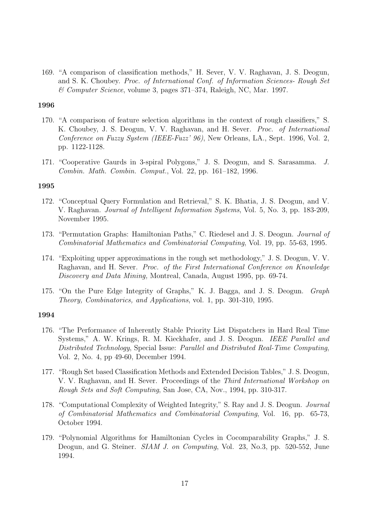169. "A comparison of classification methods," H. Sever, V. V. Raghavan, J. S. Deogun, and S. K. Choubey. Proc. of International Conf. of Information Sciences- Rough Set & Computer Science, volume 3, pages 371–374, Raleigh, NC, Mar. 1997.

### 1996

- 170. "A comparison of feature selection algorithms in the context of rough classifiers," S. K. Choubey, J. S. Deogun, V. V. Raghavan, and H. Sever. Proc. of International Conference on Fuzzy System (IEEE-Fuzz' 96), New Orleans, LA., Sept. 1996, Vol. 2, pp. 1122-1128.
- 171. "Cooperative Gaurds in 3-spiral Polygons," J. S. Deogun, and S. Sarasamma. J. Combin. Math. Combin. Comput., Vol. 22, pp. 161–182, 1996.

### 1995

- 172. "Conceptual Query Formulation and Retrieval," S. K. Bhatia, J. S. Deogun, and V. V. Raghavan. Journal of Intelligent Information Systems, Vol. 5, No. 3, pp. 183-209, November 1995.
- 173. "Permutation Graphs: Hamiltonian Paths," C. Riedesel and J. S. Deogun. Journal of Combinatorial Mathematics and Combinatorial Computing, Vol. 19, pp. 55-63, 1995.
- 174. "Exploiting upper approximations in the rough set methodology," J. S. Deogun, V. V. Raghavan, and H. Sever. Proc. of the First International Conference on Knowledge Discovery and Data Mining, Montreal, Canada, August 1995, pp. 69-74.
- 175. "On the Pure Edge Integrity of Graphs," K. J. Bagga, and J. S. Deogun. Graph Theory, Combinatorics, and Applications, vol. 1, pp. 301-310, 1995.

- 176. "The Performance of Inherently Stable Priority List Dispatchers in Hard Real Time Systems," A. W. Krings, R. M. Kieckhafer, and J. S. Deogun. IEEE Parallel and Distributed Technology, Special Issue: Parallel and Distributed Real-Time Computing, Vol. 2, No. 4, pp 49-60, December 1994.
- 177. "Rough Set based Classification Methods and Extended Decision Tables," J. S. Deogun, V. V. Raghavan, and H. Sever. Proceedings of the Third International Workshop on Rough Sets and Soft Computing, San Jose, CA, Nov., 1994, pp. 310-317.
- 178. "Computational Complexity of Weighted Integrity," S. Ray and J. S. Deogun. Journal of Combinatorial Mathematics and Combinatorial Computing, Vol. 16, pp. 65-73, October 1994.
- 179. "Polynomial Algorithms for Hamiltonian Cycles in Cocomparability Graphs," J. S. Deogun, and G. Steiner. *SIAM J. on Computing*, Vol. 23, No.3, pp. 520-552, June 1994.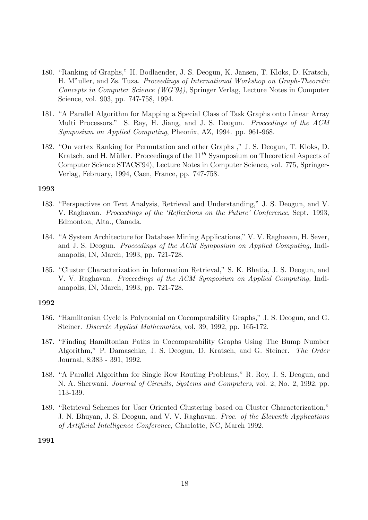- 180. "Ranking of Graphs," H. Bodlaender, J. S. Deogun, K. Jansen, T. Kloks, D. Kratsch, H. M"uller, and Zs. Tuza. Proceedings of International Workshop on Graph-Theoretic Concepts in Computer Science (WG'94), Springer Verlag, Lecture Notes in Computer Science, vol. 903, pp. 747-758, 1994.
- 181. "A Parallel Algorithm for Mapping a Special Class of Task Graphs onto Linear Array Multi Processors." S. Ray, H. Jiang, and J. S. Deogun. Proceedings of the ACM Symposium on Applied Computing, Pheonix, AZ, 1994. pp. 961-968.
- 182. "On vertex Ranking for Permutation and other Graphs ," J. S. Deogun, T. Kloks, D. Kratsch, and H. Müller. Proceedings of the 11<sup>th</sup> Sysmposium on Theoretical Aspects of Computer Science STACS'94), Lecture Notes in Computer Science, vol. 775, Springer-Verlag, February, 1994, Caen, France, pp. 747-758.

- 183. "Perspectives on Text Analysis, Retrieval and Understanding," J. S. Deogun, and V. V. Raghavan. Proceedings of the 'Reflections on the Future' Conference, Sept. 1993, Edmonton, Alta., Canada.
- 184. "A System Architecture for Database Mining Applications," V. V. Raghavan, H. Sever, and J. S. Deogun. Proceedings of the ACM Symposium on Applied Computing, Indianapolis, IN, March, 1993, pp. 721-728.
- 185. "Cluster Characterization in Information Retrieval," S. K. Bhatia, J. S. Deogun, and V. V. Raghavan. Proceedings of the ACM Symposium on Applied Computing, Indianapolis, IN, March, 1993, pp. 721-728.

#### 1992

- 186. "Hamiltonian Cycle is Polynomial on Cocomparability Graphs," J. S. Deogun, and G. Steiner. Discrete Applied Mathematics, vol. 39, 1992, pp. 165-172.
- 187. "Finding Hamiltonian Paths in Cocomparability Graphs Using The Bump Number Algorithm," P. Damaschke, J. S. Deogun, D. Kratsch, and G. Steiner. The Order Journal, 8:383 - 391, 1992.
- 188. "A Parallel Algorithm for Single Row Routing Problems," R. Roy, J. S. Deogun, and N. A. Sherwani. Journal of Circuits, Systems and Computers, vol. 2, No. 2, 1992, pp. 113-139.
- 189. "Retrieval Schemes for User Oriented Clustering based on Cluster Characterization," J. N. Bhuyan, J. S. Deogun, and V. V. Raghavan. Proc. of the Eleventh Applications of Artificial Intelligence Conference, Charlotte, NC, March 1992.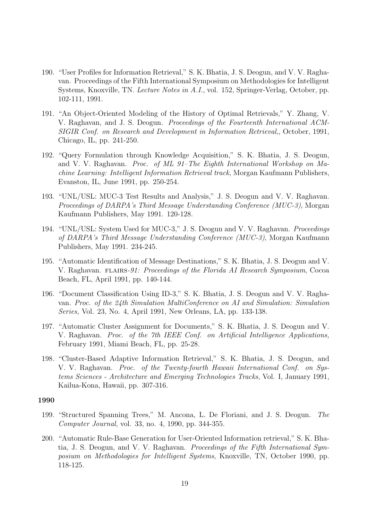- 190. "User Profiles for Information Retrieval," S. K. Bhatia, J. S. Deogun, and V. V. Raghavan. Proceedings of the Fifth International Symposium on Methodologies for Intelligent Systems, Knoxville, TN. Lecture Notes in A.I., vol. 152, Springer-Verlag, October, pp. 102-111, 1991.
- 191. "An Object-Oriented Modeling of the History of Optimal Retrievals," Y. Zhang, V. V. Raghavan, and J. S. Deogun. Proceedings of the Fourteenth International ACM-SIGIR Conf. on Research and Development in Information Retrieval,, October, 1991, Chicago, IL, pp. 241-250.
- 192. "Query Formulation through Knowledge Acquisition," S. K. Bhatia, J. S. Deogun, and V. V. Raghavan. Proc. of ML 91–The Eighth International Workshop on Machine Learning: Intelligent Information Retrieval track, Morgan Kaufmann Publishers, Evanston, IL, June 1991, pp. 250-254.
- 193. "UNL/USL: MUC-3 Test Results and Analysis," J. S. Deogun and V. V. Raghavan. Proceedings of DARPA's Third Message Understanding Conference (MUC-3), Morgan Kaufmann Publishers, May 1991. 120-128.
- 194. "UNL/USL: System Used for MUC-3," J. S. Deogun and V. V. Raghavan. Proceedings of DARPA's Third Message Understanding Conference (MUC-3), Morgan Kaufmann Publishers, May 1991. 234-245.
- 195. "Automatic Identification of Message Destinations," S. K. Bhatia, J. S. Deogun and V. V. Raghavan. FLAIRS-91: Proceedings of the Florida AI Research Symposium, Cocoa Beach, FL, April 1991, pp. 140-144.
- 196. "Document Classification Using ID-3," S. K. Bhatia, J. S. Deogun and V. V. Raghavan. Proc. of the 24th Simulation MultiConference on AI and Simulation: Simulation Series, Vol. 23, No. 4, April 1991, New Orleans, LA, pp. 133-138.
- 197. "Automatic Cluster Assignment for Documents," S. K. Bhatia, J. S. Deogun and V. V. Raghavan. Proc. of the 7th IEEE Conf. on Artificial Intelligence Applications, February 1991, Miami Beach, FL, pp. 25-28.
- 198. "Cluster-Based Adaptive Information Retrieval," S. K. Bhatia, J. S. Deogun, and V. V. Raghavan. Proc. of the Twenty-fourth Hawaii International Conf. on Systems Sciences - Architecture and Emerging Technologies Tracks, Vol. I, January 1991, Kailua-Kona, Hawaii, pp. 307-316.

- 199. "Structured Spanning Trees," M. Ancona, L. De Floriani, and J. S. Deogun. The Computer Journal, vol. 33, no. 4, 1990, pp. 344-355.
- 200. "Automatic Rule-Base Generation for User-Oriented Information retrieval," S. K. Bhatia, J. S. Deogun, and V. V. Raghavan. Proceedings of the Fifth International Symposium on Methodologies for Intelligent Systems, Knoxville, TN, October 1990, pp. 118-125.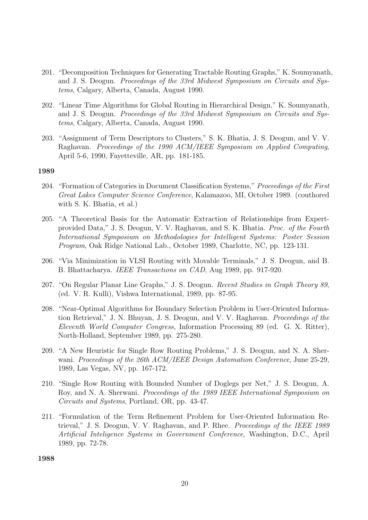- 201. "Decomposition Techniques for Generating Tractable Routing Graphs," K. Soumyanath, and J. S. Deogun. Proceedings of the 33rd Midwest Symposium on Circuits and Systems, Calgary, Alberta, Canada, August 1990.
- 202. "Linear Time Algorithms for Global Routing in Hierarchical Design," K. Soumyanath, and J. S. Deogun. Proceedings of the 33rd Midwest Symposium on Circuits and Systems, Calgary, Alberta, Canada, August 1990.
- 203. "Assignment of Term Descriptors to Clusters," S. K. Bhatia, J. S. Deogun, and V. V. Raghavan. Proceedings of the 1990 ACM/IEEE Symposium on Applied Computing, April 5-6, 1990, Fayetteville, AR, pp. 181-185.

- 204. "Formation of Categories in Document Classification Systems," Proceedings of the First Great Lakes Computer Science Conference, Kalamazoo, MI, October 1989. (couthored with S. K. Bhatia, et al.)
- 205. "A Theoretical Basis for the Automatic Extraction of Relationships from Expertprovided Data," J. S. Deogun, V. V. Raghavan, and S. K. Bhatia. Proc. of the Fourth International Symposium on Methodologies for Intelligent Systems: Poster Session Program, Oak Ridge National Lab., October 1989, Charlotte, NC, pp. 123-131.
- 206. "Via Minimization in VLSI Routing with Movable Terminals," J. S. Deogun, and B. B. Bhattacharya. IEEE Transactions on CAD, Aug 1989, pp. 917-920.
- 207. "On Regular Planar Line Graphs," J. S. Deogun. Recent Studies in Graph Theory 89, (ed. V. R. Kulli), Vishwa International, 1989, pp. 87-95.
- 208. "Near-Optimal Algorithms for Boundary Selection Problem in User-Oriented Information Retrieval," J. N. Bhuyan, J. S. Deogun, and V. V. Raghavan. Proceedings of the Eleventh World Computer Congress, Information Processing 89 (ed. G. X. Ritter), North-Holland, September 1989, pp. 275-280.
- 209. "A New Heuristic for Single Row Routing Problems," J. S. Deogun, and N. A. Sherwani. Proceedings of the 26th ACM/IEEE Design Automation Conference, June 25-29, 1989, Las Vegas, NV, pp. 167-172.
- 210. "Single Row Routing with Bounded Number of Doglegs per Net," J. S. Deogun, A. Roy, and N. A. Sherwani. Proceedings of the 1989 IEEE International Symposium on Circuits and Systems, Portland, OR, pp. 43-47.
- 211. "Formulation of the Term Refinement Problem for User-Oriented Information Retrieval," J. S. Deogun, V. V. Raghavan, and P. Rhee. Proceedings of the IEEE 1989 Artificial Inteligence Systems in Government Conference, Washington, D.C., April 1989, pp. 72-78.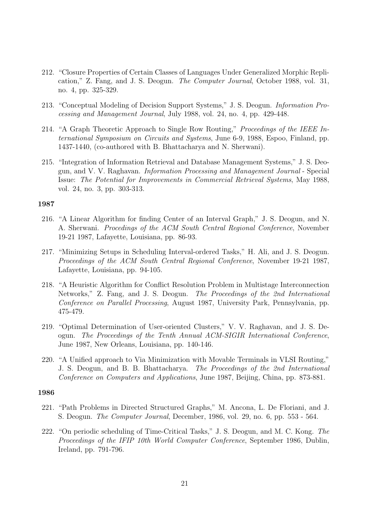- 212. "Closure Properties of Certain Classes of Languages Under Generalized Morphic Replication," Z. Fang, and J. S. Deogun. The Computer Journal, October 1988, vol. 31, no. 4, pp. 325-329.
- 213. "Conceptual Modeling of Decision Support Systems," J. S. Deogun. Information Processing and Management Journal, July 1988, vol. 24, no. 4, pp. 429-448.
- 214. "A Graph Theoretic Approach to Single Row Routing," Proceedings of the IEEE International Symposium on Circuits and Systems, June 6-9, 1988, Espoo, Finland, pp. 1437-1440, (co-authored with B. Bhattacharya and N. Sherwani).
- 215. "Integration of Information Retrieval and Database Management Systems," J. S. Deogun, and V. V. Raghavan. Information Processing and Management Journal - Special Issue: The Potential for Improvements in Commercial Retrieval Systems, May 1988, vol. 24, no. 3, pp. 303-313.

- 216. "A Linear Algorithm for finding Center of an Interval Graph," J. S. Deogun, and N. A. Sherwani. Procedings of the ACM South Central Regional Conference, November 19-21 1987, Lafayette, Louisiana, pp. 86-93.
- 217. "Minimizing Setups in Scheduling Interval-ordered Tasks," H. Ali, and J. S. Deogun. Proceedings of the ACM South Central Regional Conference, November 19-21 1987, Lafayette, Louisiana, pp. 94-105.
- 218. "A Heuristic Algorithm for Conflict Resolution Problem in Multistage Interconnection Networks," Z. Fang, and J. S. Deogun. The Proceedings of the 2nd International Conference on Parallel Processing, August 1987, University Park, Pennsylvania, pp. 475-479.
- 219. "Optimal Determination of User-oriented Clusters," V. V. Raghavan, and J. S. Deogun. The Proceedings of the Tenth Annual ACM-SIGIR International Conference, June 1987, New Orleans, Louisiana, pp. 140-146.
- 220. "A Unified approach to Via Minimization with Movable Terminals in VLSI Routing," J. S. Deogun, and B. B. Bhattacharya. The Proceedings of the 2nd International Conference on Computers and Applications, June 1987, Beijing, China, pp. 873-881.

- 221. "Path Problems in Directed Structured Graphs," M. Ancona, L. De Floriani, and J. S. Deogun. The Computer Journal, December, 1986, vol. 29, no. 6, pp. 553 - 564.
- 222. "On periodic scheduling of Time-Critical Tasks," J. S. Deogun, and M. C. Kong. The Proceedings of the IFIP 10th World Computer Conference, September 1986, Dublin, Ireland, pp. 791-796.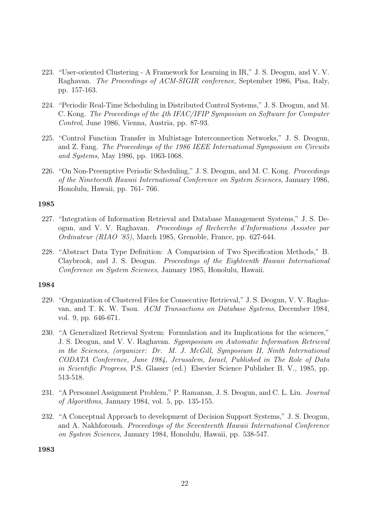- 223. "User-oriented Clustering A Framework for Learning in IR," J. S. Deogun, and V. V. Raghavan. The Proceedings of ACM-SIGIR conference, September 1986, Pisa, Italy, pp. 157-163.
- 224. "Periodic Real-Time Scheduling in Distributed Control Systems," J. S. Deogun, and M. C. Kong. The Proceedings of the 4th IFAC/IFIP Symposium on Software for Computer Control, June 1986, Vienna, Austria, pp. 87-93.
- 225. "Control Function Transfer in Multistage Interconnection Networks," J. S. Deogun, and Z. Fang. The Proceedings of the 1986 IEEE International Symposium on Circuits and Systems, May 1986, pp. 1063-1068.
- 226. "On Non-Preemptive Periodic Scheduling," J. S. Deogun, and M. C. Kong. *Proceedings* of the Nineteenth Hawaii International Conference on System Sciences, January 1986, Honolulu, Hawaii, pp. 761- 766.

- 227. "Integration of Information Retrieval and Database Management Systems," J. S. Deogun, and V. V. Raghavan. Proceedings of Recherche d'Informations Assistee par Ordinateur (RIAO '85), March 1985, Grenoble, France, pp. 627-644.
- 228. "Abstract Data Type Definition: A Comparision of Two Specification Methods," B. Claybrook, and J. S. Deogun. Proceedings of the Eighteenth Hawaii International Conference on System Sciences, January 1985, Honolulu, Hawaii.

#### 1984

- 229. "Organization of Clustered Files for Consecutive Retrieval," J. S. Deogun, V. V. Raghavan, and T. K. W. Tsou. ACM Transactions on Database Systems, December 1984, vol. 9, pp. 646-671.
- 230. "A Generalized Retrieval System: Formulation and its Implications for the sciences," J. S. Deogun, and V. V. Raghavan. Sypmposium on Automatic Information Retrieval in the Sciences, (organizer: Dr. M. J. McGill, Symposium II, Ninth International CODATA Conference, June 1984, Jerusalem, Israel, Published in The Role of Data in Scientific Progress, P.S. Glasser (ed.) Elsevier Science Publisher B. V., 1985, pp. 513-518.
- 231. "A Personnel Assignment Problem," P. Ramanan, J. S. Deogun, and C. L. Liu. Journal of Algorithms, January 1984, vol. 5, pp. 135-155.
- 232. "A Conceptual Approach to development of Decision Support Systems," J. S. Deogun, and A. Nakhforoush. Proceedings of the Seventeenth Hawaii International Conference on System Sciences, January 1984, Honolulu, Hawaii, pp. 538-547.